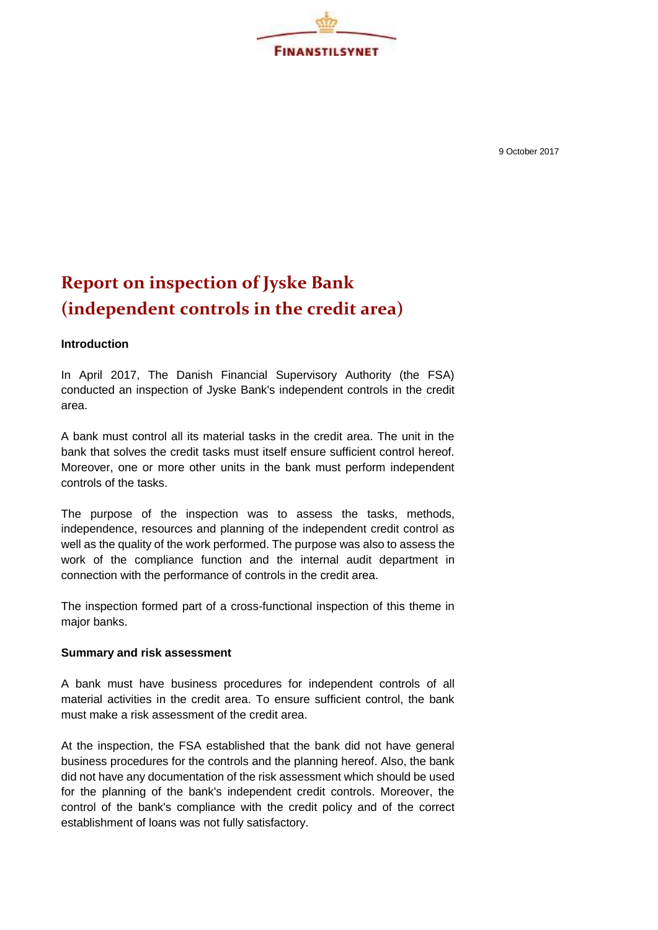

9 October 2017

## **Report on inspection of Jyske Bank (independent controls in the credit area)**

## **Introduction**

In April 2017, The Danish Financial Supervisory Authority (the FSA) conducted an inspection of Jyske Bank's independent controls in the credit area.

A bank must control all its material tasks in the credit area. The unit in the bank that solves the credit tasks must itself ensure sufficient control hereof. Moreover, one or more other units in the bank must perform independent controls of the tasks.

The purpose of the inspection was to assess the tasks, methods, independence, resources and planning of the independent credit control as well as the quality of the work performed. The purpose was also to assess the work of the compliance function and the internal audit department in connection with the performance of controls in the credit area.

The inspection formed part of a cross-functional inspection of this theme in major banks.

## **Summary and risk assessment**

A bank must have business procedures for independent controls of all material activities in the credit area. To ensure sufficient control, the bank must make a risk assessment of the credit area.

At the inspection, the FSA established that the bank did not have general business procedures for the controls and the planning hereof. Also, the bank did not have any documentation of the risk assessment which should be used for the planning of the bank's independent credit controls. Moreover, the control of the bank's compliance with the credit policy and of the correct establishment of loans was not fully satisfactory.